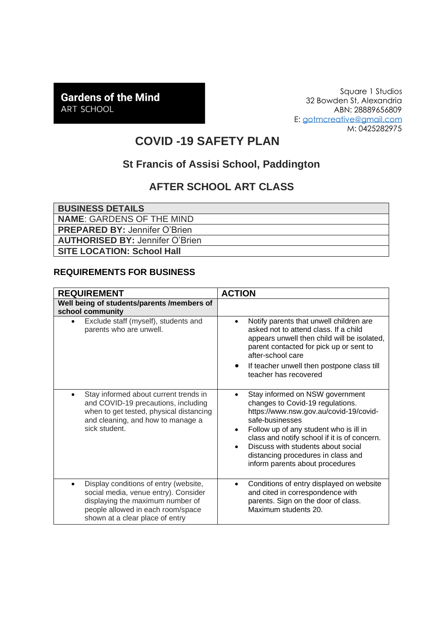# **Gardens of the Mind** ART SCHOOL

Square 1 Studios 32 Bowden St, Alexandria ABN: 28889656809 E: [gotmcreative@gmail.com](mailto:gotmcreative@gmail.com) M: 0425282975

# **COVID -19 SAFETY PLAN**

### **St Francis of Assisi School, Paddington**

# **AFTER SCHOOL ART CLASS**

**BUSINESS DETAILS NAME**: GARDENS OF THE MIND **PREPARED BY:** Jennifer O'Brien **AUTHORISED BY:** Jennifer O'Brien **SITE LOCATION: School Hall**

#### **REQUIREMENTS FOR BUSINESS**

| <b>REQUIREMENT</b>                                                                                                                                                                                     | <b>ACTION</b>                                                                                                                                                                                                                                                                                                                                                       |
|--------------------------------------------------------------------------------------------------------------------------------------------------------------------------------------------------------|---------------------------------------------------------------------------------------------------------------------------------------------------------------------------------------------------------------------------------------------------------------------------------------------------------------------------------------------------------------------|
| Well being of students/parents /members of<br>school community                                                                                                                                         |                                                                                                                                                                                                                                                                                                                                                                     |
| Exclude staff (myself), students and<br>$\bullet$<br>parents who are unwell.                                                                                                                           | Notify parents that unwell children are<br>$\bullet$<br>asked not to attend class. If a child<br>appears unwell then child will be isolated,<br>parent contacted for pick up or sent to<br>after-school care                                                                                                                                                        |
|                                                                                                                                                                                                        | If teacher unwell then postpone class till<br>$\bullet$<br>teacher has recovered                                                                                                                                                                                                                                                                                    |
| Stay informed about current trends in<br>٠<br>and COVID-19 precautions, including<br>when to get tested, physical distancing<br>and cleaning, and how to manage a<br>sick student.                     | Stay informed on NSW government<br>changes to Covid-19 regulations.<br>https://www.nsw.gov.au/covid-19/covid-<br>safe-businesses<br>Follow up of any student who is ill in<br>$\bullet$<br>class and notify school if it is of concern.<br>Discuss with students about social<br>$\bullet$<br>distancing procedures in class and<br>inform parents about procedures |
| Display conditions of entry (website,<br>$\bullet$<br>social media, venue entry). Consider<br>displaying the maximum number of<br>people allowed in each room/space<br>shown at a clear place of entry | Conditions of entry displayed on website<br>$\bullet$<br>and cited in correspondence with<br>parents. Sign on the door of class.<br>Maximum students 20.                                                                                                                                                                                                            |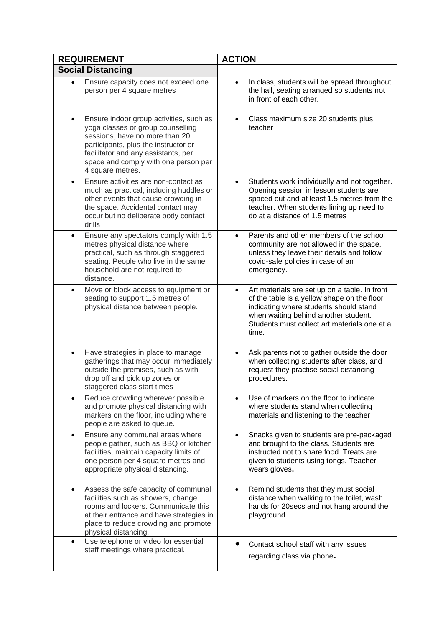| <b>REQUIREMENT</b>                                                                                                                                                                                                                                                     | <b>ACTION</b>                                                                                                                                                                                                                                        |
|------------------------------------------------------------------------------------------------------------------------------------------------------------------------------------------------------------------------------------------------------------------------|------------------------------------------------------------------------------------------------------------------------------------------------------------------------------------------------------------------------------------------------------|
| <b>Social Distancing</b>                                                                                                                                                                                                                                               |                                                                                                                                                                                                                                                      |
| Ensure capacity does not exceed one<br>person per 4 square metres                                                                                                                                                                                                      | In class, students will be spread throughout<br>$\bullet$<br>the hall, seating arranged so students not<br>in front of each other.                                                                                                                   |
| Ensure indoor group activities, such as<br>$\bullet$<br>yoga classes or group counselling<br>sessions, have no more than 20<br>participants, plus the instructor or<br>facilitator and any assistants, per<br>space and comply with one person per<br>4 square metres. | Class maximum size 20 students plus<br>teacher                                                                                                                                                                                                       |
| Ensure activities are non-contact as<br>$\bullet$<br>much as practical, including huddles or<br>other events that cause crowding in<br>the space. Accidental contact may<br>occur but no deliberate body contact<br>drills                                             | Students work individually and not together.<br>Opening session in lesson students are<br>spaced out and at least 1.5 metres from the<br>teacher. When students lining up need to<br>do at a distance of 1.5 metres                                  |
| Ensure any spectators comply with 1.5<br>$\bullet$<br>metres physical distance where<br>practical, such as through staggered<br>seating. People who live in the same<br>household are not required to<br>distance.                                                     | Parents and other members of the school<br>community are not allowed in the space,<br>unless they leave their details and follow<br>covid-safe policies in case of an<br>emergency.                                                                  |
| Move or block access to equipment or<br>$\bullet$<br>seating to support 1.5 metres of<br>physical distance between people.                                                                                                                                             | Art materials are set up on a table. In front<br>$\bullet$<br>of the table is a yellow shape on the floor<br>indicating where students should stand<br>when waiting behind another student.<br>Students must collect art materials one at a<br>time. |
| Have strategies in place to manage<br>$\bullet$<br>gatherings that may occur immediately<br>outside the premises, such as with<br>drop off and pick up zones or<br>staggered class start times                                                                         | Ask parents not to gather outside the door<br>$\bullet$<br>when collecting students after class, and<br>request they practise social distancing<br>procedures.                                                                                       |
| Reduce crowding wherever possible<br>$\bullet$<br>and promote physical distancing with<br>markers on the floor, including where<br>people are asked to queue.                                                                                                          | Use of markers on the floor to indicate<br>where students stand when collecting<br>materials and listening to the teacher                                                                                                                            |
| Ensure any communal areas where<br>$\bullet$<br>people gather, such as BBQ or kitchen<br>facilities, maintain capacity limits of<br>one person per 4 square metres and<br>appropriate physical distancing.                                                             | Snacks given to students are pre-packaged<br>$\bullet$<br>and brought to the class. Students are<br>instructed not to share food. Treats are<br>given to students using tongs. Teacher<br>wears gloves.                                              |
| Assess the safe capacity of communal<br>facilities such as showers, change<br>rooms and lockers. Communicate this<br>at their entrance and have strategies in<br>place to reduce crowding and promote<br>physical distancing.                                          | Remind students that they must social<br>distance when walking to the toilet, wash<br>hands for 20secs and not hang around the<br>playground                                                                                                         |
| Use telephone or video for essential<br>$\bullet$<br>staff meetings where practical.                                                                                                                                                                                   | Contact school staff with any issues<br>regarding class via phone.                                                                                                                                                                                   |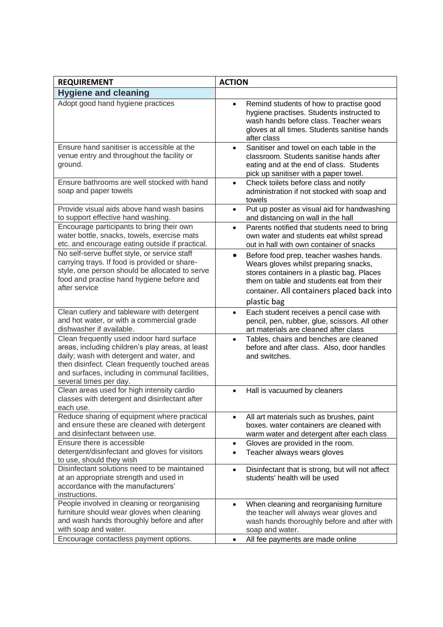| <b>REQUIREMENT</b>                                                                                                                                                                                                                                                        | <b>ACTION</b>                                                                                                                                                                                                                                         |
|---------------------------------------------------------------------------------------------------------------------------------------------------------------------------------------------------------------------------------------------------------------------------|-------------------------------------------------------------------------------------------------------------------------------------------------------------------------------------------------------------------------------------------------------|
| <b>Hygiene and cleaning</b>                                                                                                                                                                                                                                               |                                                                                                                                                                                                                                                       |
| Adopt good hand hygiene practices                                                                                                                                                                                                                                         | Remind students of how to practise good<br>$\bullet$<br>hygiene practises. Students instructed to<br>wash hands before class. Teacher wears<br>gloves at all times. Students sanitise hands<br>after class                                            |
| Ensure hand sanitiser is accessible at the<br>venue entry and throughout the facility or<br>ground.                                                                                                                                                                       | Sanitiser and towel on each table in the<br>$\bullet$<br>classroom. Students sanitise hands after<br>eating and at the end of class. Students<br>pick up sanitiser with a paper towel.                                                                |
| Ensure bathrooms are well stocked with hand<br>soap and paper towels                                                                                                                                                                                                      | Check toilets before class and notify<br>$\bullet$<br>administration if not stocked with soap and<br>towels                                                                                                                                           |
| Provide visual aids above hand wash basins<br>to support effective hand washing.                                                                                                                                                                                          | Put up poster as visual aid for handwashing<br>$\bullet$<br>and distancing on wall in the hall                                                                                                                                                        |
| Encourage participants to bring their own<br>water bottle, snacks, towels, exercise mats<br>etc. and encourage eating outside if practical.                                                                                                                               | Parents notified that students need to bring<br>$\bullet$<br>own water and students eat whilst spread<br>out in hall with own container of snacks                                                                                                     |
| No self-serve buffet style, or service staff<br>carrying trays. If food is provided or share-<br>style, one person should be allocated to serve<br>food and practise hand hygiene before and<br>after service                                                             | Before food prep, teacher washes hands.<br>$\bullet$<br>Wears gloves whilst preparing snacks,<br>stores containers in a plastic bag. Places<br>them on table and students eat from their<br>container. All containers placed back into<br>plastic bag |
| Clean cutlery and tableware with detergent<br>and hot water, or with a commercial grade<br>dishwasher if available.                                                                                                                                                       | Each student receives a pencil case with<br>$\bullet$<br>pencil, pen, rubber, glue, scissors. All other<br>art materials are cleaned after class                                                                                                      |
| Clean frequently used indoor hard surface<br>areas, including children's play areas, at least<br>daily; wash with detergent and water, and<br>then disinfect. Clean frequently touched areas<br>and surfaces, including in communal facilities,<br>several times per day. | Tables, chairs and benches are cleaned<br>$\bullet$<br>before and after class. Also, door handles<br>and switches.                                                                                                                                    |
| Clean areas used for high intensity cardio<br>classes with detergent and disinfectant after<br>each use.                                                                                                                                                                  | Hall is vacuumed by cleaners                                                                                                                                                                                                                          |
| Reduce sharing of equipment where practical<br>and ensure these are cleaned with detergent<br>and disinfectant between use.                                                                                                                                               | All art materials such as brushes, paint<br>$\bullet$<br>boxes, water containers are cleaned with<br>warm water and detergent after each class                                                                                                        |
| Ensure there is accessible<br>detergent/disinfectant and gloves for visitors<br>to use, should they wish                                                                                                                                                                  | Gloves are provided in the room.<br>$\bullet$<br>Teacher always wears gloves<br>$\bullet$                                                                                                                                                             |
| Disinfectant solutions need to be maintained<br>at an appropriate strength and used in<br>accordance with the manufacturers'<br>instructions.                                                                                                                             | Disinfectant that is strong, but will not affect<br>$\bullet$<br>students' health will be used                                                                                                                                                        |
| People involved in cleaning or reorganising<br>furniture should wear gloves when cleaning<br>and wash hands thoroughly before and after<br>with soap and water.<br>Encourage contactless payment options.                                                                 | When cleaning and reorganising furniture<br>$\bullet$<br>the teacher will always wear gloves and<br>wash hands thoroughly before and after with<br>soap and water.<br>All fee payments are made online<br>$\bullet$                                   |